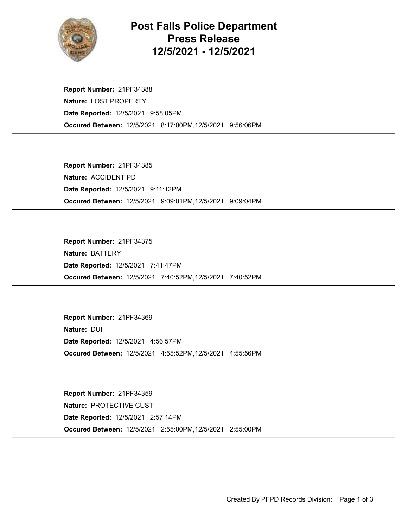

## Post Falls Police Department Press Release 12/5/2021 - 12/5/2021

Occured Between: 12/5/2021 8:17:00PM,12/5/2021 9:56:06PM Report Number: 21PF34388 Nature: LOST PROPERTY Date Reported: 12/5/2021 9:58:05PM

Occured Between: 12/5/2021 9:09:01PM,12/5/2021 9:09:04PM Report Number: 21PF34385 Nature: ACCIDENT PD Date Reported: 12/5/2021 9:11:12PM

Occured Between: 12/5/2021 7:40:52PM,12/5/2021 7:40:52PM Report Number: 21PF34375 Nature: BATTERY Date Reported: 12/5/2021 7:41:47PM

Occured Between: 12/5/2021 4:55:52PM,12/5/2021 4:55:56PM Report Number: 21PF34369 Nature: DUI Date Reported: 12/5/2021 4:56:57PM

Occured Between: 12/5/2021 2:55:00PM,12/5/2021 2:55:00PM Report Number: 21PF34359 Nature: PROTECTIVE CUST Date Reported: 12/5/2021 2:57:14PM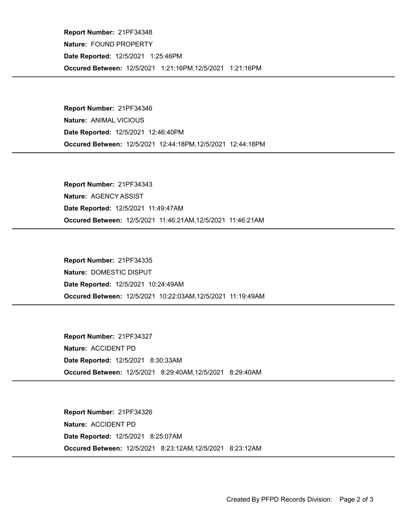Occured Between: 12/5/2021 1:21:16PM,12/5/2021 1:21:16PM Report Number: 21PF34348 Nature: FOUND PROPERTY Date Reported: 12/5/2021 1:25:46PM

Occured Between: 12/5/2021 12:44:18PM,12/5/2021 12:44:18PM Report Number: 21PF34346 Nature: ANIMAL VICIOUS Date Reported: 12/5/2021 12:46:40PM

Occured Between: 12/5/2021 11:46:21AM,12/5/2021 11:46:21AM Report Number: 21PF34343 Nature: AGENCY ASSIST Date Reported: 12/5/2021 11:49:47AM

Occured Between: 12/5/2021 10:22:03AM,12/5/2021 11:19:49AM Report Number: 21PF34335 Nature: DOMESTIC DISPUT Date Reported: 12/5/2021 10:24:49AM

Occured Between: 12/5/2021 8:29:40AM,12/5/2021 8:29:40AM Report Number: 21PF34327 Nature: ACCIDENT PD Date Reported: 12/5/2021 8:30:33AM

Occured Between: 12/5/2021 8:23:12AM,12/5/2021 8:23:12AM Report Number: 21PF34326 Nature: ACCIDENT PD Date Reported: 12/5/2021 8:25:07AM